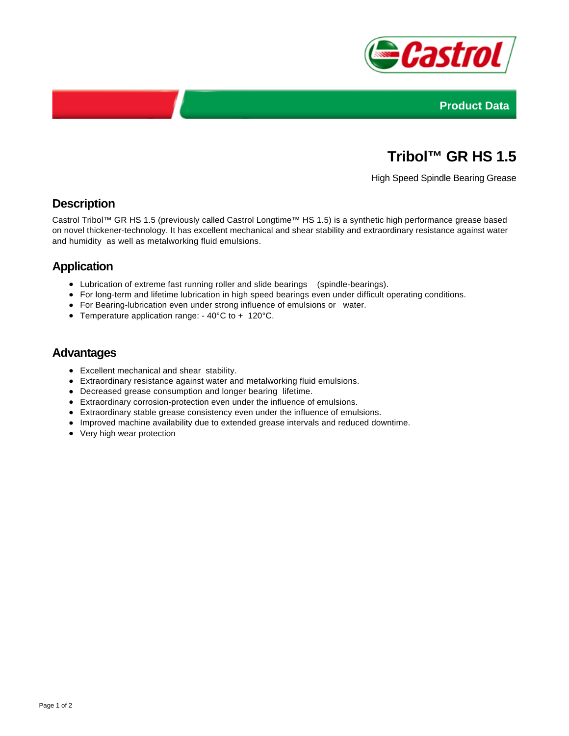



# **Tribol™ GR HS 1.5**

High Speed Spindle Bearing Grease

# **Description**

Castrol Tribol™ GR HS 1.5 (previously called Castrol Longtime™ HS 1.5) is a synthetic high performance grease based on novel thickener-technology. It has excellent mechanical and shear stability and extraordinary resistance against water and humidity as well as metalworking fluid emulsions.

# **Application**

- Lubrication of extreme fast running roller and slide bearings (spindle-bearings).
- For long-term and lifetime lubrication in high speed bearings even under difficult operating conditions.
- For Bearing-lubrication even under strong influence of emulsions or water.
- Temperature application range: 40°C to + 120°C.

#### **Advantages**

- Excellent mechanical and shear stability.
- Extraordinary resistance against water and metalworking fluid emulsions.
- Decreased grease consumption and longer bearing lifetime.
- Extraordinary corrosion-protection even under the influence of emulsions.
- Extraordinary stable grease consistency even under the influence of emulsions.
- Improved machine availability due to extended grease intervals and reduced downtime.
- Very high wear protection